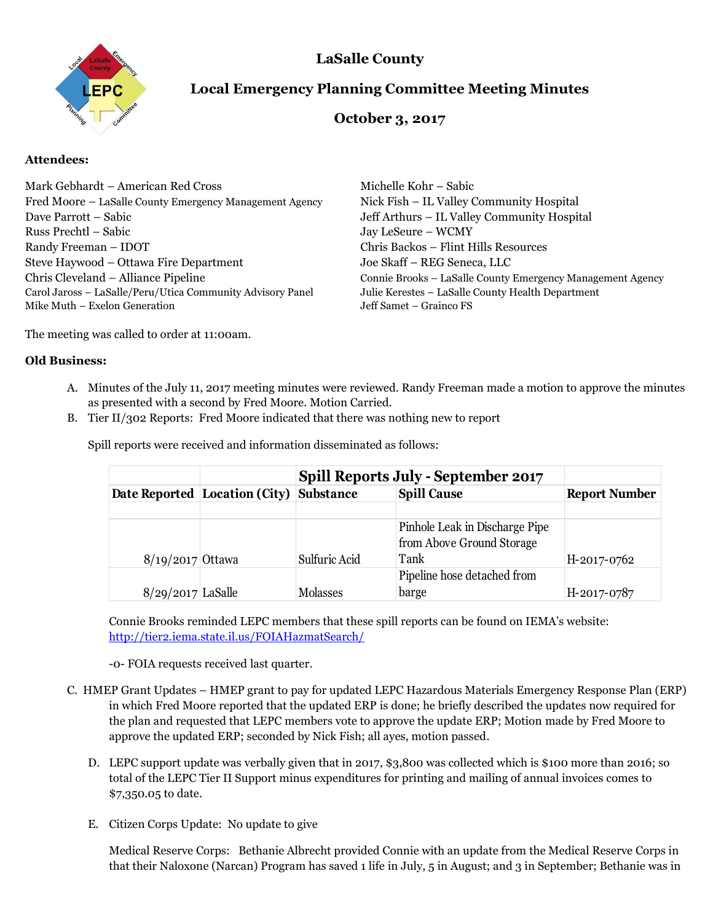

## **LaSalle County**

# **Local Emergency Planning Committee Meeting Minutes**

### **October 3, 2017**

### **Attendees:**

| Mark Gebhardt – American Red Cross<br>Fred Moore - LaSalle County Emergency Management Agency<br>Dave Parrott – Sabic<br>Russ Prechtl – Sabic<br>Randy Freeman – IDOT | Michelle Kohr – Sabic<br>Nick Fish – IL Valley Community Hospital<br>Jeff Arthurs – IL Valley Community Hospital<br>Jay LeSeure - WCMY<br>Chris Backos - Flint Hills Resources<br>Joe Skaff - REG Seneca, LLC |
|-----------------------------------------------------------------------------------------------------------------------------------------------------------------------|---------------------------------------------------------------------------------------------------------------------------------------------------------------------------------------------------------------|
| Steve Haywood - Ottawa Fire Department                                                                                                                                |                                                                                                                                                                                                               |
| Chris Cleveland – Alliance Pipeline<br>Carol Jaross - LaSalle/Peru/Utica Community Advisory Panel<br>Mike Muth – Exelon Generation                                    | Connie Brooks - LaSalle County Emergency Management Agency<br>Julie Kerestes - LaSalle County Health Department<br>Jeff Samet – Grainco FS                                                                    |

The meeting was called to order at 11:00am.

### **Old Business:**

- A. Minutes of the July 11, 2017 meeting minutes were reviewed. Randy Freeman made a motion to approve the minutes as presented with a second by Fred Moore. Motion Carried.
- B. Tier II/302 Reports: Fred Moore indicated that there was nothing new to report

|                     |                               | <b>Spill Reports July - September 2017</b> |                                                                     |                      |
|---------------------|-------------------------------|--------------------------------------------|---------------------------------------------------------------------|----------------------|
|                     | Date Reported Location (City) | Substance                                  | <b>Spill Cause</b>                                                  | <b>Report Number</b> |
| $8/19/2017$ Ottawa  |                               | Sulfuric Acid                              | Pinhole Leak in Discharge Pipe<br>from Above Ground Storage<br>Tank | H-2017-0762          |
| $8/29/2017$ LaSalle |                               | Molasses                                   | Pipeline hose detached from<br>barge                                | H-2017-0787          |

Spill reports were received and information disseminated as follows:

Connie Brooks reminded LEPC members that these spill reports can be found on IEMA's website: <http://tier2.iema.state.il.us/FOIAHazmatSearch/>

-0- FOIA requests received last quarter.

- C. HMEP Grant Updates HMEP grant to pay for updated LEPC Hazardous Materials Emergency Response Plan (ERP) in which Fred Moore reported that the updated ERP is done; he briefly described the updates now required for the plan and requested that LEPC members vote to approve the update ERP; Motion made by Fred Moore to approve the updated ERP; seconded by Nick Fish; all ayes, motion passed.
	- D. LEPC support update was verbally given that in 2017, \$3,800 was collected which is \$100 more than 2016; so total of the LEPC Tier II Support minus expenditures for printing and mailing of annual invoices comes to \$7,350.05 to date.
	- E. Citizen Corps Update: No update to give

Medical Reserve Corps: Bethanie Albrecht provided Connie with an update from the Medical Reserve Corps in that their Naloxone (Narcan) Program has saved 1 life in July, 5 in August; and 3 in September; Bethanie was in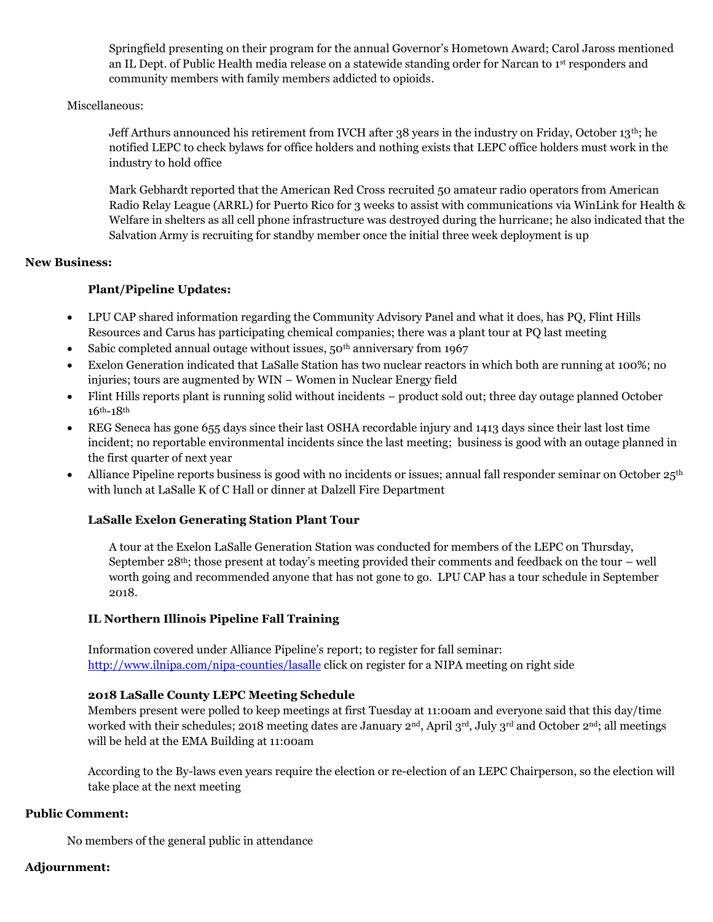Springfield presenting on their program for the annual Governor's Hometown Award; Carol Jaross mentioned an IL Dept. of Public Health media release on a statewide standing order for Narcan to 1st responders and community members with family members addicted to opioids.

#### Miscellaneous:

Jeff Arthurs announced his retirement from IVCH after 38 years in the industry on Friday, October 13<sup>th</sup>; he notified LEPC to check bylaws for office holders and nothing exists that LEPC office holders must work in the industry to hold office

Mark Gebhardt reported that the American Red Cross recruited 50 amateur radio operators from American Radio Relay League (ARRL) for Puerto Rico for 3 weeks to assist with communications via WinLink for Health & Welfare in shelters as all cell phone infrastructure was destroyed during the hurricane; he also indicated that the Salvation Army is recruiting for standby member once the initial three week deployment is up

### **New Business:**

### **Plant/Pipeline Updates:**

- LPU CAP shared information regarding the Community Advisory Panel and what it does, has PQ, Flint Hills Resources and Carus has participating chemical companies; there was a plant tour at PQ last meeting
- Sabic completed annual outage without issues,  $50<sup>th</sup>$  anniversary from 1967
- Exelon Generation indicated that LaSalle Station has two nuclear reactors in which both are running at 100%; no injuries; tours are augmented by WIN – Women in Nuclear Energy field
- Flint Hills reports plant is running solid without incidents product sold out; three day outage planned October 16th-18th
- REG Seneca has gone 655 days since their last OSHA recordable injury and 1413 days since their last lost time incident; no reportable environmental incidents since the last meeting; business is good with an outage planned in the first quarter of next year
- Alliance Pipeline reports business is good with no incidents or issues; annual fall responder seminar on October 25<sup>th</sup> with lunch at LaSalle K of C Hall or dinner at Dalzell Fire Department

### **LaSalle Exelon Generating Station Plant Tour**

A tour at the Exelon LaSalle Generation Station was conducted for members of the LEPC on Thursday, September 28th; those present at today's meeting provided their comments and feedback on the tour – well worth going and recommended anyone that has not gone to go. LPU CAP has a tour schedule in September 2018.

### **IL Northern Illinois Pipeline Fall Training**

Information covered under Alliance Pipeline's report; to register for fall seminar: <http://www.ilnipa.com/nipa-counties/lasalle> click on register for a NIPA meeting on right side

### **2018 LaSalle County LEPC Meeting Schedule**

Members present were polled to keep meetings at first Tuesday at 11:00am and everyone said that this day/time worked with their schedules; 2018 meeting dates are January  $2<sup>nd</sup>$ , April  $3<sup>rd</sup>$ , July  $3<sup>rd</sup>$  and October  $2<sup>nd</sup>$ ; all meetings will be held at the EMA Building at 11:00am

According to the By-laws even years require the election or re-election of an LEPC Chairperson, so the election will take place at the next meeting

### **Public Comment:**

No members of the general public in attendance

### **Adjournment:**